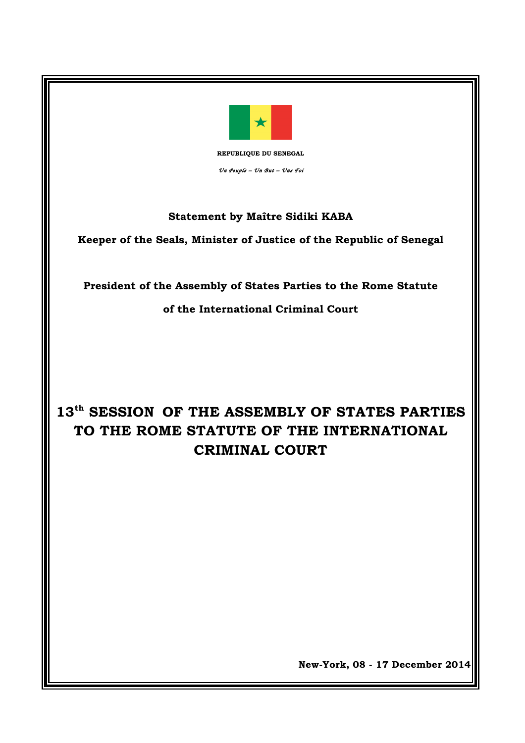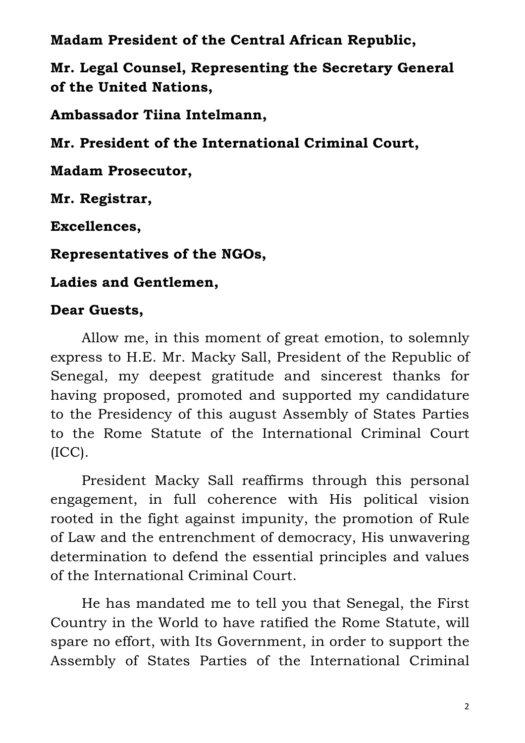**Madam President of the Central African Republic,** 

**Mr. Legal Counsel, Representing the Secretary General of the United Nations,** 

**Ambassador Tiina Intelmann,**

**Mr. President of the International Criminal Court,**

**Madam Prosecutor,**

**Mr. Registrar,**

**Excellences,**

**Representatives of the NGOs,**

**Ladies and Gentlemen,** 

# **Dear Guests,**

Allow me, in this moment of great emotion, to solemnly express to H.E. Mr. Macky Sall, President of the Republic of Senegal, my deepest gratitude and sincerest thanks for having proposed, promoted and supported my candidature to the Presidency of this august Assembly of States Parties to the Rome Statute of the International Criminal Court (ICC).

President Macky Sall reaffirms through this personal engagement, in full coherence with His political vision rooted in the fight against impunity, the promotion of Rule of Law and the entrenchment of democracy, His unwavering determination to defend the essential principles and values of the International Criminal Court.

He has mandated me to tell you that Senegal, the First Country in the World to have ratified the Rome Statute, will spare no effort, with Its Government, in order to support the Assembly of States Parties of the International Criminal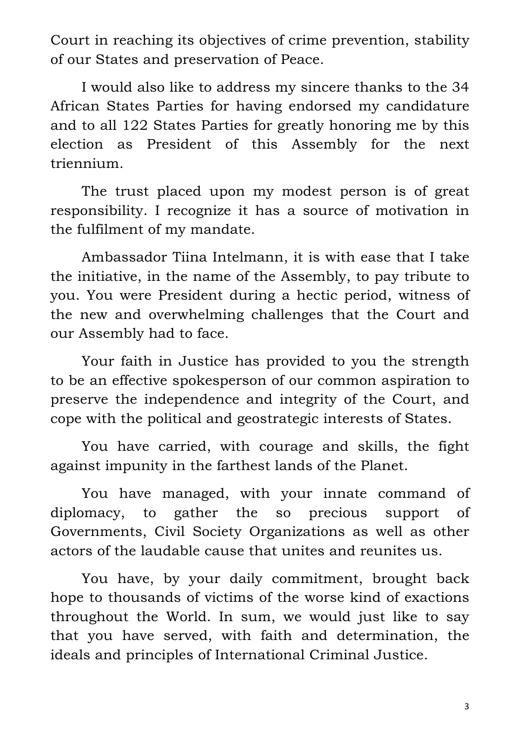Court in reaching its objectives of crime prevention, stability of our States and preservation of Peace.

I would also like to address my sincere thanks to the 34 African States Parties for having endorsed my candidature and to all 122 States Parties for greatly honoring me by this election as President of this Assembly for the next triennium.

The trust placed upon my modest person is of great responsibility. I recognize it has a source of motivation in the fulfilment of my mandate.

Ambassador Tiina Intelmann, it is with ease that I take the initiative, in the name of the Assembly, to pay tribute to you. You were President during a hectic period, witness of the new and overwhelming challenges that the Court and our Assembly had to face.

Your faith in Justice has provided to you the strength to be an effective spokesperson of our common aspiration to preserve the independence and integrity of the Court, and cope with the political and geostrategic interests of States.

You have carried, with courage and skills, the fight against impunity in the farthest lands of the Planet.

You have managed, with your innate command of diplomacy, to gather the so precious support of Governments, Civil Society Organizations as well as other actors of the laudable cause that unites and reunites us.

You have, by your daily commitment, brought back hope to thousands of victims of the worse kind of exactions throughout the World. In sum, we would just like to say that you have served, with faith and determination, the ideals and principles of International Criminal Justice.

3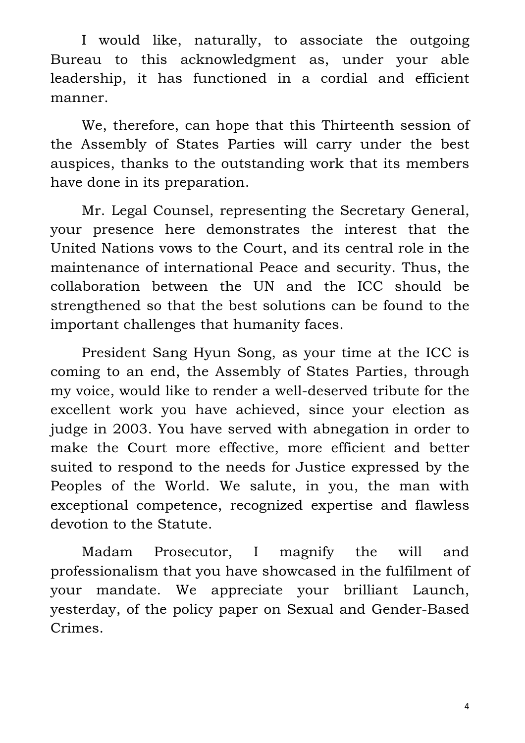I would like, naturally, to associate the outgoing Bureau to this acknowledgment as, under your able leadership, it has functioned in a cordial and efficient manner.

We, therefore, can hope that this Thirteenth session of the Assembly of States Parties will carry under the best auspices, thanks to the outstanding work that its members have done in its preparation.

Mr. Legal Counsel, representing the Secretary General, your presence here demonstrates the interest that the United Nations vows to the Court, and its central role in the maintenance of international Peace and security. Thus, the collaboration between the UN and the ICC should be strengthened so that the best solutions can be found to the important challenges that humanity faces.

President Sang Hyun Song, as your time at the ICC is coming to an end, the Assembly of States Parties, through my voice, would like to render a well-deserved tribute for the excellent work you have achieved, since your election as judge in 2003. You have served with abnegation in order to make the Court more effective, more efficient and better suited to respond to the needs for Justice expressed by the Peoples of the World. We salute, in you, the man with exceptional competence, recognized expertise and flawless devotion to the Statute.

Madam Prosecutor, I magnify the will and professionalism that you have showcased in the fulfilment of your mandate. We appreciate your brilliant Launch, yesterday, of the policy paper on Sexual and Gender-Based Crimes.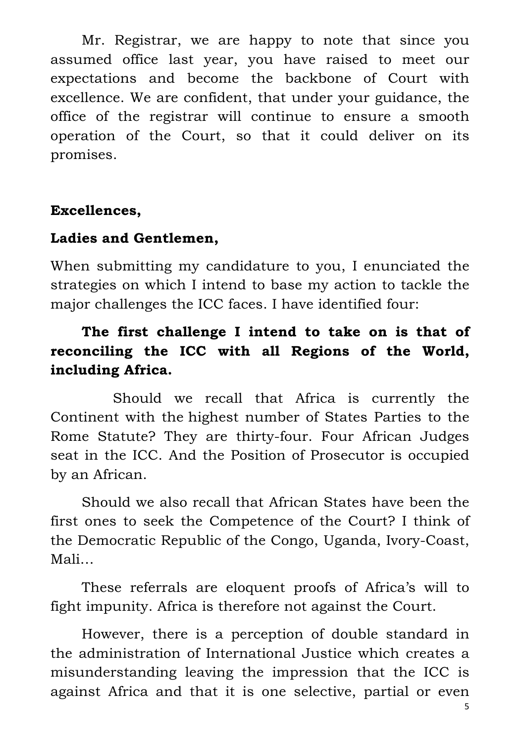Mr. Registrar, we are happy to note that since you assumed office last year, you have raised to meet our expectations and become the backbone of Court with excellence. We are confident, that under your guidance, the office of the registrar will continue to ensure a smooth operation of the Court, so that it could deliver on its promises.

### **Excellences,**

#### **Ladies and Gentlemen,**

When submitting my candidature to you, I enunciated the strategies on which I intend to base my action to tackle the major challenges the ICC faces. I have identified four:

# **The first challenge I intend to take on is that of reconciling the ICC with all Regions of the World, including Africa.**

Should we recall that Africa is currently the Continent with the highest number of States Parties to the Rome Statute? They are thirty-four. Four African Judges seat in the ICC. And the Position of Prosecutor is occupied by an African.

Should we also recall that African States have been the first ones to seek the Competence of the Court? I think of the Democratic Republic of the Congo, Uganda, Ivory-Coast, Mali…

These referrals are eloquent proofs of Africa's will to fight impunity. Africa is therefore not against the Court.

However, there is a perception of double standard in the administration of International Justice which creates a misunderstanding leaving the impression that the ICC is against Africa and that it is one selective, partial or even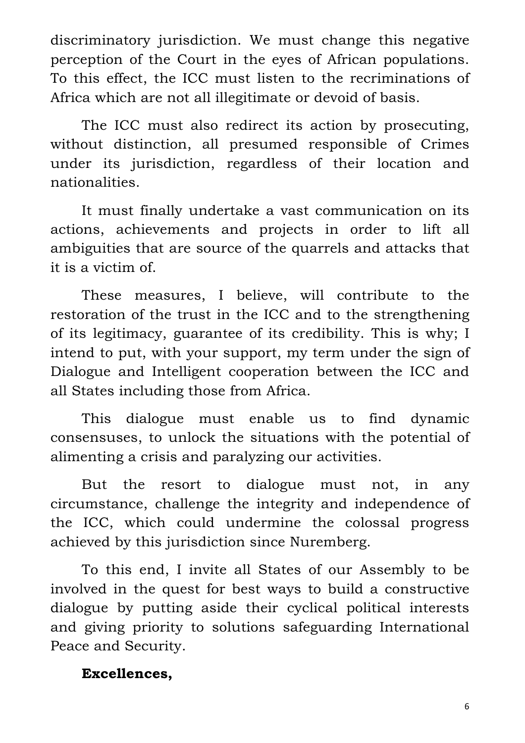discriminatory jurisdiction. We must change this negative perception of the Court in the eyes of African populations. To this effect, the ICC must listen to the recriminations of Africa which are not all illegitimate or devoid of basis.

The ICC must also redirect its action by prosecuting, without distinction, all presumed responsible of Crimes under its jurisdiction, regardless of their location and nationalities.

It must finally undertake a vast communication on its actions, achievements and projects in order to lift all ambiguities that are source of the quarrels and attacks that it is a victim of.

These measures, I believe, will contribute to the restoration of the trust in the ICC and to the strengthening of its legitimacy, guarantee of its credibility. This is why; I intend to put, with your support, my term under the sign of Dialogue and Intelligent cooperation between the ICC and all States including those from Africa.

This dialogue must enable us to find dynamic consensuses, to unlock the situations with the potential of alimenting a crisis and paralyzing our activities.

But the resort to dialogue must not, in any circumstance, challenge the integrity and independence of the ICC, which could undermine the colossal progress achieved by this jurisdiction since Nuremberg.

To this end, I invite all States of our Assembly to be involved in the quest for best ways to build a constructive dialogue by putting aside their cyclical political interests and giving priority to solutions safeguarding International Peace and Security.

### **Excellences,**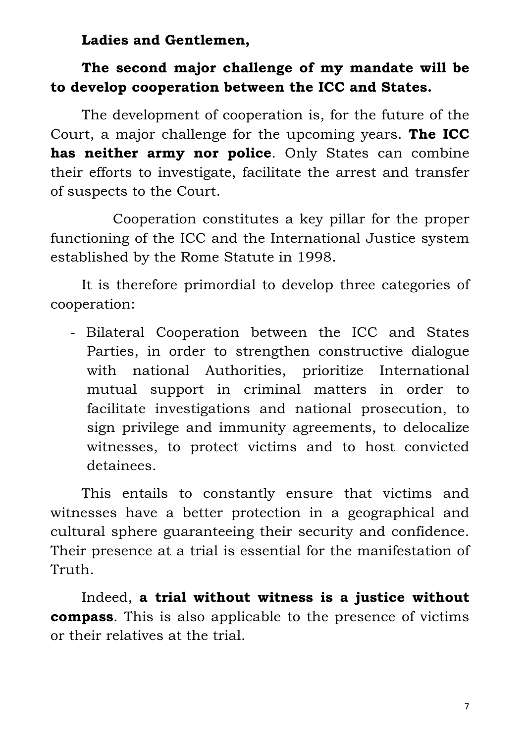**Ladies and Gentlemen,**

### **The second major challenge of my mandate will be to develop cooperation between the ICC and States.**

The development of cooperation is, for the future of the Court, a major challenge for the upcoming years. **The ICC has neither army nor police**. Only States can combine their efforts to investigate, facilitate the arrest and transfer of suspects to the Court.

Cooperation constitutes a key pillar for the proper functioning of the ICC and the International Justice system established by the Rome Statute in 1998.

It is therefore primordial to develop three categories of cooperation:

- Bilateral Cooperation between the ICC and States Parties, in order to strengthen constructive dialogue with national Authorities, prioritize International mutual support in criminal matters in order to facilitate investigations and national prosecution, to sign privilege and immunity agreements, to delocalize witnesses, to protect victims and to host convicted detainees.

This entails to constantly ensure that victims and witnesses have a better protection in a geographical and cultural sphere guaranteeing their security and confidence. Their presence at a trial is essential for the manifestation of Truth.

Indeed, **a trial without witness is a justice without compass**. This is also applicable to the presence of victims or their relatives at the trial.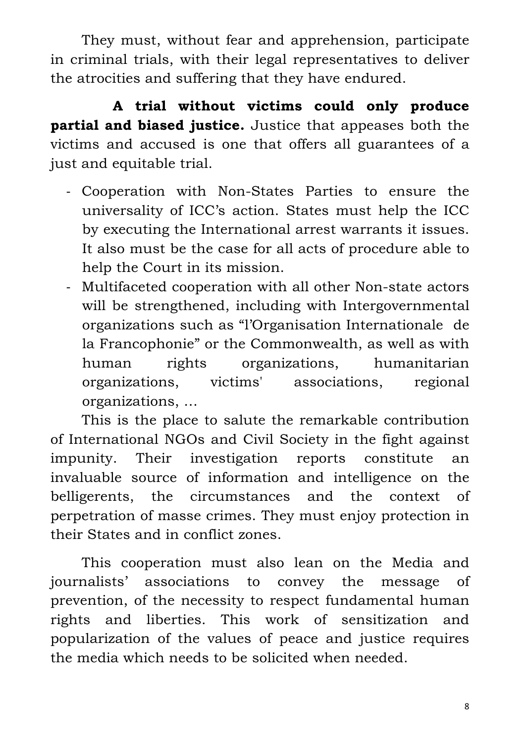They must, without fear and apprehension, participate in criminal trials, with their legal representatives to deliver the atrocities and suffering that they have endured.

**A trial without victims could only produce partial and biased justice.** Justice that appeases both the victims and accused is one that offers all guarantees of a just and equitable trial.

- Cooperation with Non-States Parties to ensure the universality of ICC's action. States must help the ICC by executing the International arrest warrants it issues. It also must be the case for all acts of procedure able to help the Court in its mission.
- Multifaceted cooperation with all other Non-state actors will be strengthened, including with Intergovernmental organizations such as "l'Organisation Internationale de la Francophonie" or the Commonwealth, as well as with human rights organizations, humanitarian organizations, victims' associations, regional organizations, …

This is the place to salute the remarkable contribution of International NGOs and Civil Society in the fight against impunity. Their investigation reports constitute an invaluable source of information and intelligence on the belligerents, the circumstances and the context of perpetration of masse crimes. They must enjoy protection in their States and in conflict zones.

This cooperation must also lean on the Media and journalists' associations to convey the message of prevention, of the necessity to respect fundamental human rights and liberties. This work of sensitization and popularization of the values of peace and justice requires the media which needs to be solicited when needed.

8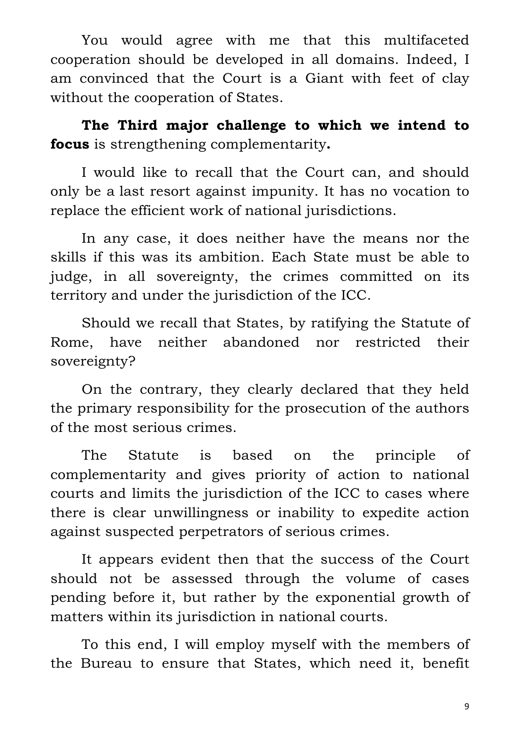You would agree with me that this multifaceted cooperation should be developed in all domains. Indeed, I am convinced that the Court is a Giant with feet of clay without the cooperation of States.

**The Third major challenge to which we intend to focus** is strengthening complementarity**.** 

I would like to recall that the Court can, and should only be a last resort against impunity. It has no vocation to replace the efficient work of national jurisdictions.

In any case, it does neither have the means nor the skills if this was its ambition. Each State must be able to judge, in all sovereignty, the crimes committed on its territory and under the jurisdiction of the ICC.

Should we recall that States, by ratifying the Statute of Rome, have neither abandoned nor restricted their sovereignty?

On the contrary, they clearly declared that they held the primary responsibility for the prosecution of the authors of the most serious crimes.

The Statute is based on the principle of complementarity and gives priority of action to national courts and limits the jurisdiction of the ICC to cases where there is clear unwillingness or inability to expedite action against suspected perpetrators of serious crimes.

It appears evident then that the success of the Court should not be assessed through the volume of cases pending before it, but rather by the exponential growth of matters within its jurisdiction in national courts.

To this end, I will employ myself with the members of the Bureau to ensure that States, which need it, benefit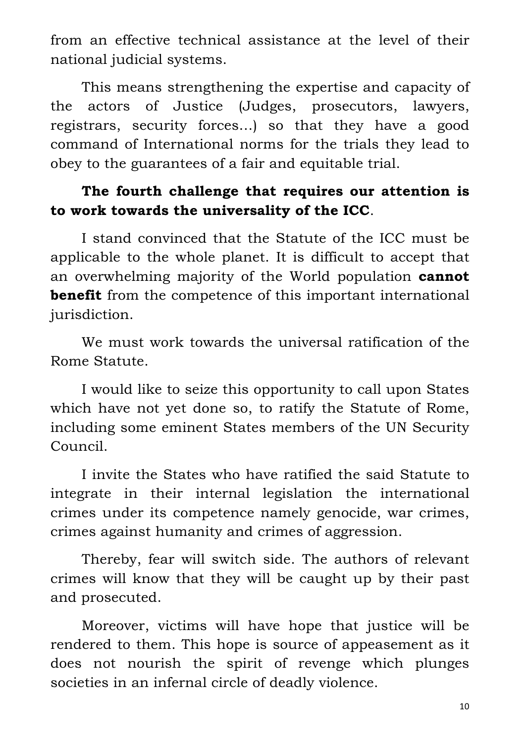from an effective technical assistance at the level of their national judicial systems.

This means strengthening the expertise and capacity of the actors of Justice (Judges, prosecutors, lawyers, registrars, security forces…) so that they have a good command of International norms for the trials they lead to obey to the guarantees of a fair and equitable trial.

# **The fourth challenge that requires our attention is to work towards the universality of the ICC**.

I stand convinced that the Statute of the ICC must be applicable to the whole planet. It is difficult to accept that an overwhelming majority of the World population **cannot benefit** from the competence of this important international jurisdiction.

We must work towards the universal ratification of the Rome Statute.

I would like to seize this opportunity to call upon States which have not yet done so, to ratify the Statute of Rome, including some eminent States members of the UN Security Council.

I invite the States who have ratified the said Statute to integrate in their internal legislation the international crimes under its competence namely genocide, war crimes, crimes against humanity and crimes of aggression.

Thereby, fear will switch side. The authors of relevant crimes will know that they will be caught up by their past and prosecuted.

Moreover, victims will have hope that justice will be rendered to them. This hope is source of appeasement as it does not nourish the spirit of revenge which plunges societies in an infernal circle of deadly violence.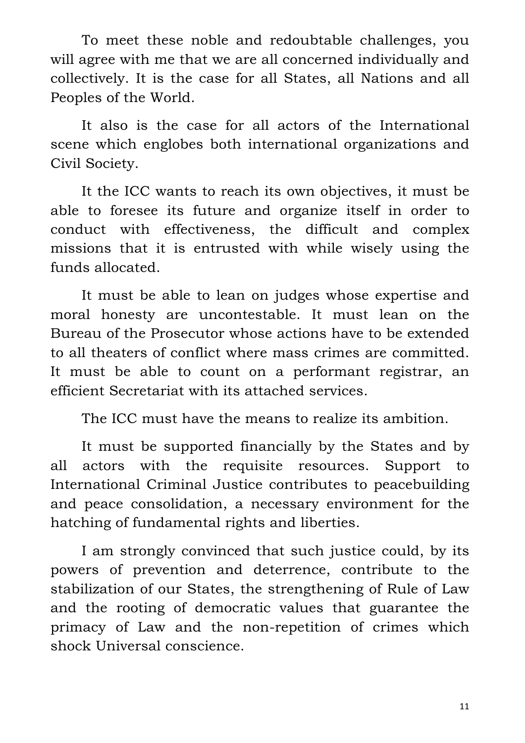To meet these noble and redoubtable challenges, you will agree with me that we are all concerned individually and collectively. It is the case for all States, all Nations and all Peoples of the World.

It also is the case for all actors of the International scene which englobes both international organizations and Civil Society.

It the ICC wants to reach its own objectives, it must be able to foresee its future and organize itself in order to conduct with effectiveness, the difficult and complex missions that it is entrusted with while wisely using the funds allocated.

It must be able to lean on judges whose expertise and moral honesty are uncontestable. It must lean on the Bureau of the Prosecutor whose actions have to be extended to all theaters of conflict where mass crimes are committed. It must be able to count on a performant registrar, an efficient Secretariat with its attached services.

The ICC must have the means to realize its ambition.

It must be supported financially by the States and by all actors with the requisite resources. Support to International Criminal Justice contributes to peacebuilding and peace consolidation, a necessary environment for the hatching of fundamental rights and liberties.

I am strongly convinced that such justice could, by its powers of prevention and deterrence, contribute to the stabilization of our States, the strengthening of Rule of Law and the rooting of democratic values that guarantee the primacy of Law and the non-repetition of crimes which shock Universal conscience.